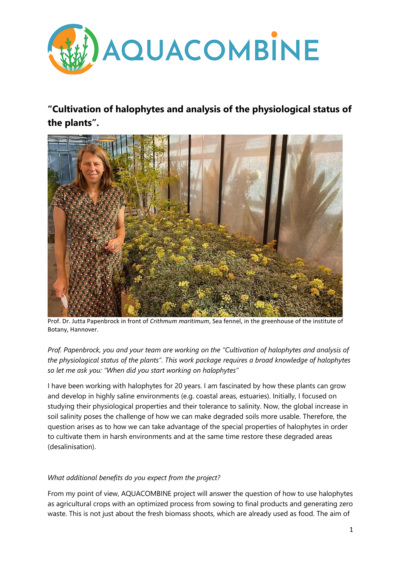

# **"Cultivation of halophytes and analysis of the physiological status of the plants".**



Prof. Dr. Jutta Papenbrock in front of *Crithmum maritimum*, Sea fennel, in the greenhouse of the institute of Botany, Hannover.

*Prof. Papenbrock, you and your team are working on the "Cultivation of halophytes and analysis of the physiological status of the plants". This work package requires a broad knowledge of halophytes so let me ask you: "When did you start working on halophytes"*

I have been working with halophytes for 20 years. I am fascinated by how these plants can grow and develop in highly saline environments (e.g. coastal areas, estuaries). Initially, I focused on studying their physiological properties and their tolerance to salinity. Now, the global increase in soil salinity poses the challenge of how we can make degraded soils more usable. Therefore, the question arises as to how we can take advantage of the special properties of halophytes in order to cultivate them in harsh environments and at the same time restore these degraded areas (desalinisation).

#### *What additional benefits do you expect from the project?*

From my point of view, AQUACOMBINE project will answer the question of how to use halophytes as agricultural crops with an optimized process from sowing to final products and generating zero waste. This is not just about the fresh biomass shoots, which are already used as food. The aim of